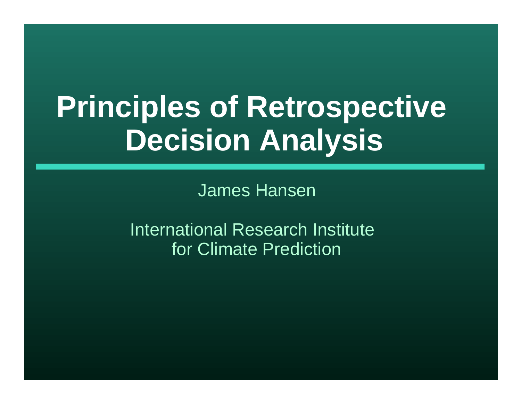# **Principles of Retrospective Decision Analysis**

James Hansen

International Research Institute for Climate Prediction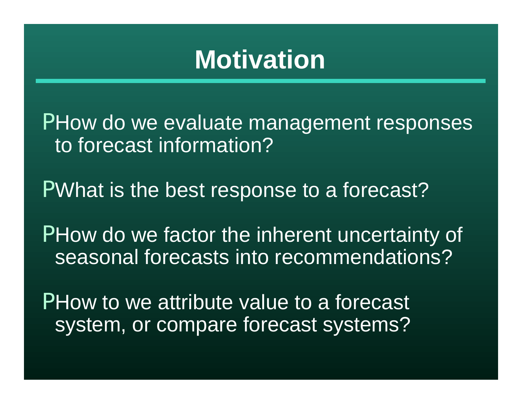## **Motivation**

PHow do we evaluate management responses to forecast information?

PWhat is the best response to a forecast?

PHow do we factor the inherent uncertainty of seasonal forecasts into recommendations?

PHow to we attribute value to a forecast system, or compare forecast systems?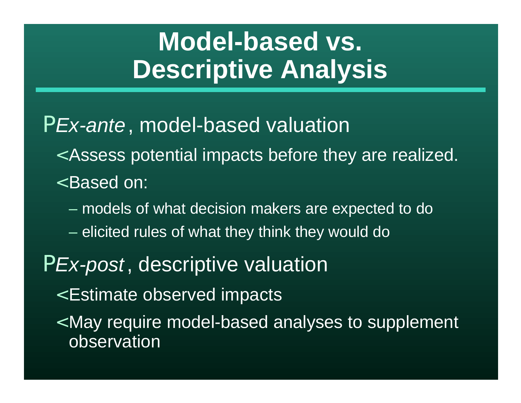# **Model-based vs. Descriptive Analysis**

#### P*Ex-ante*, model-based valuation

- < Assess potential impacts before they are realized.
- < Based on:
	- models of what decision makers are expected to do
	- elicited rules of what they think they would do

#### P*Ex-post*, descriptive valuation

- < Estimate observed impacts
- < May require model-based analyses to supplement observation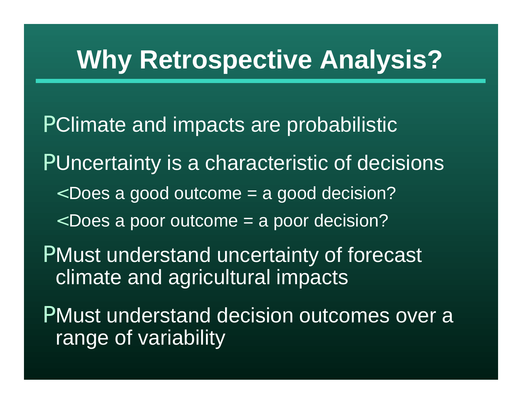# **Why Retrospective Analysis?**

PClimate and impacts are probabilistic PUncertainty is a characteristic of decisions < Does a good outcome = a good decision? < Does a poor outcome = a poor decision? PMust understand uncertainty of forecast climate and agricultural impacts PMust understand decision outcomes over a range of variability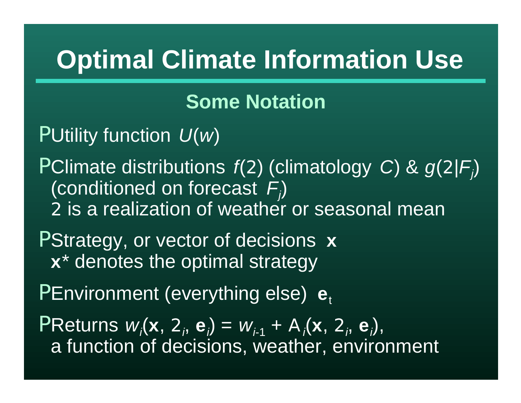# **Optimal Climate Information Use**

#### **Some Notation**

PUtility function *U*(*w*)

PClimate distributions *f*(2) (climatology *C*) & *g*(2|*F<sup>j</sup>* ) (conditioned on forecast *F<sup>j</sup>* ) 2 is a realization of weather or seasonal mean

PStrategy, or vector of decisions **x x**\* denotes the optimal strategy

PEnvironment (everything else)  $e_t$ 

PReturns  $w_i$ (**x**, 2<sub>*i*</sub>, e<sub>*i*</sub>) =  $w_{i-1}$  + A<sub>*i*</sub>(**x**, 2<sub>*i*</sub>, e<sub>*i*</sub>), a function of decisions, weather, environment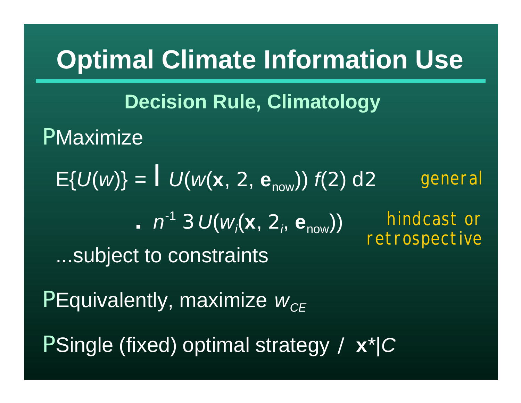# **PMaximize**  $E\{U(w)\} = U(w(x, 2, e_{now})) f(2) d2$ **.**  $n^{-1}$  3  $U(w_i(x, 2_i, e_{now}))$ ...subject to constraints PEquivalently, maximize  $W_{CE}$ PSingle (fixed) optimal strategy / **x**\*|*C* **Optimal Climate Information Use Decision Rule, Climatology** hindcast or retrospective general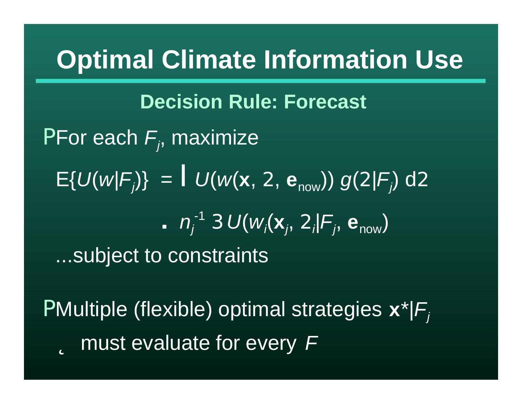## **Optimal Climate Information Use**

PFor each *F<sup>j</sup>* , maximize  $E\{U(w|F_j)\} = U(w(x, 2, e_{now})) g(2|F_j) d2$ **.**  $n_j^{-1}$  3  $U(w_i(x_j, 2_i|F_j, e_{now}))$ ...subject to constraints **Decision Rule: Forecast**

PMultiple (flexible) optimal strategies **x**\*|*F<sup>j</sup>* þ must evaluate for every *F*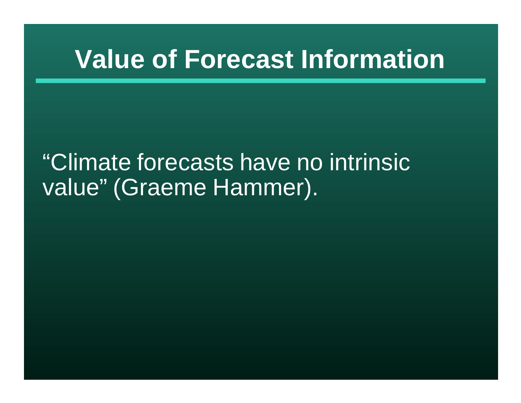#### "Climate forecasts have no intrinsic value" (Graeme Hammer).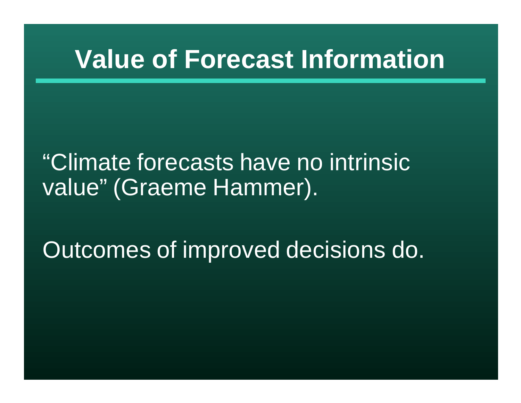"Climate forecasts have no intrinsic value" (Graeme Hammer).

Outcomes of improved decisions do.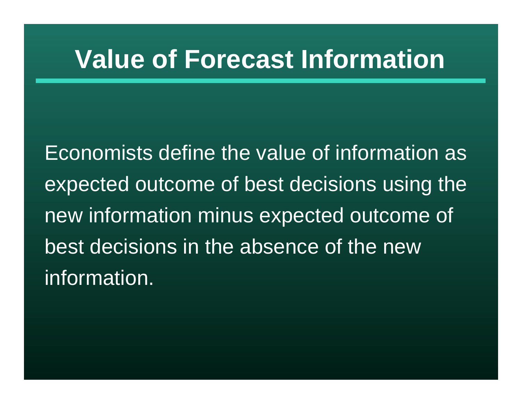Economists define the value of information as expected outcome of best decisions using the new information minus expected outcome of best decisions in the absence of the new information.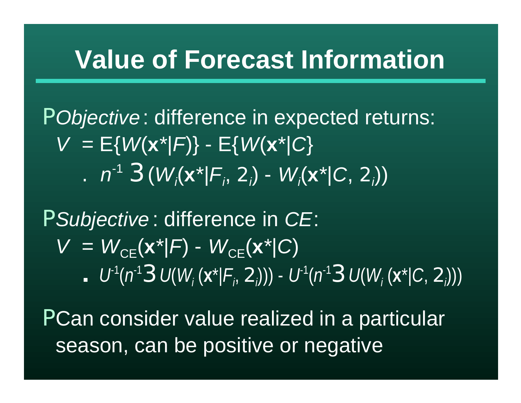P*Objective* : difference in expected returns:  $V = E{W(x^*|F)} - E{W(x^*|C)}$ .  $n^{-1}$  3( $W_i$ (**x**<sup>\*</sup>| $F_i$ , 2<sub>*i*</sub>) -  $W_i$ (**x**<sup>\*</sup>| $C$ , 2<sub>*i*</sub>))

P*Subjective* : difference in *CE*:  $V = W_{CF}(\mathbf{x}^*|F) - W_{CF}(\mathbf{x}^*|C)$ **.**  $U^1(n^13U(W_i(x^*|F_i, 2_i))) - U^1(n^13U(W_i(x^*|C, 2_i)))$ 

PCan consider value realized in a particular season, can be positive or negative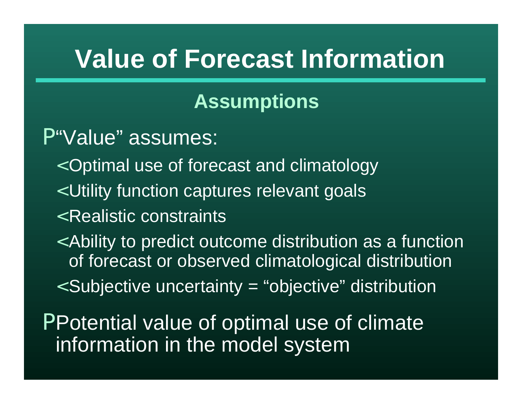#### **Assumptions**

P"Value" assumes:

- < Optimal use of forecast and climatology
- < Utility function captures relevant goals
- < Realistic constraints
- < Ability to predict outcome distribution as a function of forecast or observed climatological distribution
- < Subjective uncertainty = "objective" distribution

PPotential value of optimal use of climate information in the model system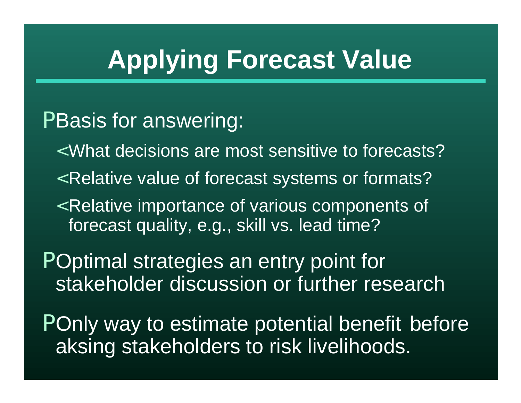# **Applying Forecast Value**

#### PBasis for answering:

- < What decisions are most sensitive to forecasts?
- < Relative value of forecast systems or formats?
- < Relative importance of various components of forecast quality, e.g., skill vs. lead time?

POptimal strategies an entry point for stakeholder discussion or further research

POnly way to estimate potential benefit before aksing stakeholders to risk livelihoods.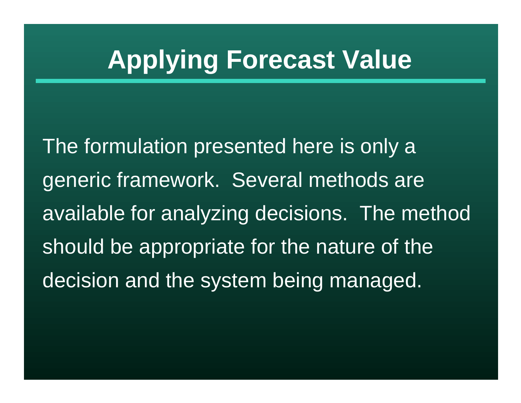# **Applying Forecast Value**

The formulation presented here is only a generic framework. Several methods are available for analyzing decisions. The method should be appropriate for the nature of the decision and the system being managed.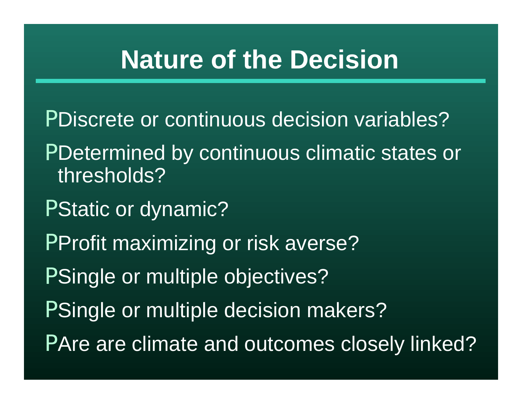## **Nature of the Decision**

PDiscrete or continuous decision variables? PDetermined by continuous climatic states or thresholds? PStatic or dynamic? PProfit maximizing or risk averse? PSingle or multiple objectives? PSingle or multiple decision makers? PAre are climate and outcomes closely linked?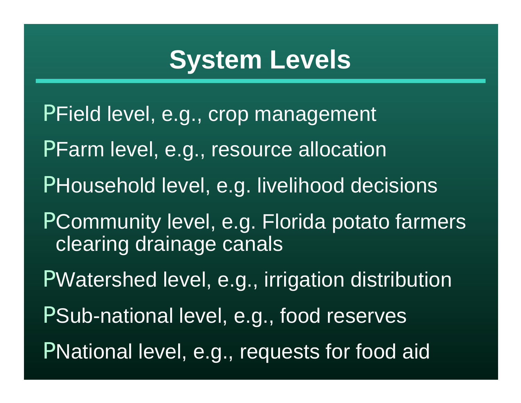# **System Levels**

PField level, e.g., crop management PFarm level, e.g., resource allocation PHousehold level, e.g. livelihood decisions PCommunity level, e.g. Florida potato farmers clearing drainage canals PWatershed level, e.g., irrigation distribution PSub-national level, e.g., food reserves PNational level, e.g., requests for food aid